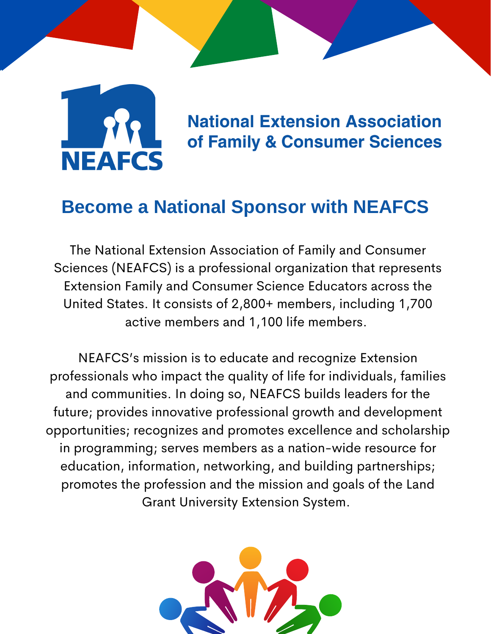

**National Extension Association** of Family & Consumer Sciences

# **Become a National Sponsor with NEAFCS**

The National Extension Association of Family and Consumer Sciences (NEAFCS) is a professional organization that represents Extension Family and Consumer Science Educators across the United States. It consists of 2,800+ members, including 1,700 active members and 1,100 life members.

NEAFCS's mission is to educate and recognize Extension professionals who impact the quality of life for individuals, families and communities. In doing so, NEAFCS builds leaders for the future; provides innovative professional growth and development opportunities; recognizes and promotes excellence and scholarship in programming; serves members as a nation-wide resource for education, information, networking, and building partnerships; promotes the profession and the mission and goals of the Land Grant University Extension System.

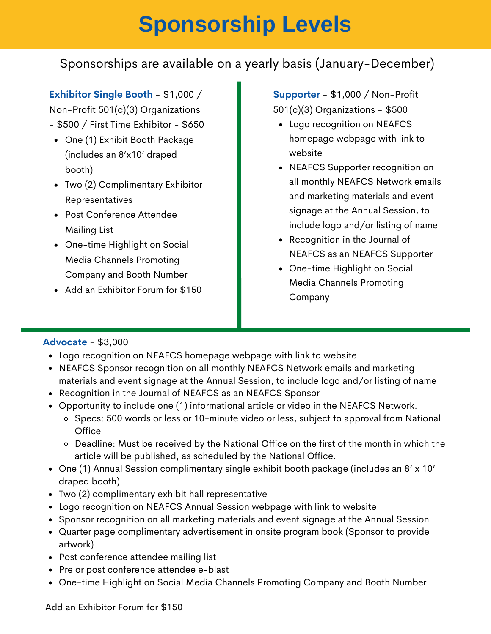# **Sponsorship Levels**

## Sponsorships are available on a yearly basis (January-December)

**Exhibitor Single Booth** - \$1,000 /

Non-Profit 501(c)(3) Organizations

- \$500 / First Time Exhibitor \$650
	- One (1) Exhibit Booth Package (includes an 8'x10' draped booth)
- Two (2) Complimentary Exhibitor Representatives
- Post Conference Attendee Mailing List
- One-time Highlight on Social Media Channels Promoting Company and Booth Number
- Add an Exhibitor Forum for \$150

**Supporter** - \$1,000 / Non-Profit 501(c)(3) Organizations - \$500

- homepage webpage with link to website
- NEAFCS Supporter recognition on all monthly NEAFCS Network emails and marketing materials and event signage at the Annual Session, to include logo and/or listing of name
- Recognition in the Journal of NEAFCS as an NEAFCS Supporter
- One-time Highlight on Social Media Channels Promoting Company

#### **Advocate** - \$3,000

- Logo recognition on NEAFCS homepage webpage with link to website
- NEAFCS Sponsor recognition on all monthly NEAFCS Network emails and marketing materials and event signage at the Annual Session, to include logo and/or listing of name
- Recognition in the Journal of NEAFCS as an NEAFCS Sponsor
- Opportunity to include one (1) informational article or video in the NEAFCS Network.
	- o Specs: 500 words or less or 10-minute video or less, subject to approval from National **Office**
	- $\circ$  Deadline: Must be received by the National Office on the first of the month in which the article will be published, as scheduled by the National Office.
- One (1) Annual Session complimentary single exhibit booth package (includes an 8' x 10' draped booth)
- Two (2) complimentary exhibit hall representative
- Logo recognition on NEAFCS Annual Session webpage with link to website
- Sponsor recognition on all marketing materials and event signage at the Annual Session
- Quarter page complimentary advertisement in onsite program book (Sponsor to provide artwork)
- Post conference attendee mailing list
- Pre or post conference attendee e-blast
- One-time Highlight on Social Media Channels Promoting Company and Booth Number

Add an Exhibitor Forum for \$150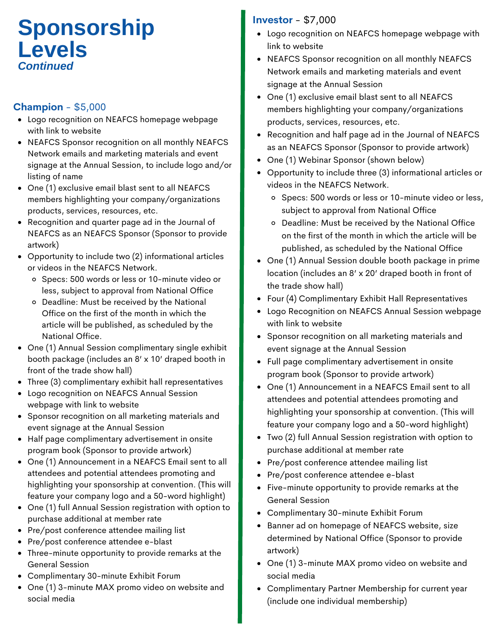# **Investor** - \$7,000 **Levels** *Continued*

### **Champion** - \$5,000

- Logo recognition on NEAFCS homepage webpage with link to website
- NEAFCS Sponsor recognition on all monthly NEAFCS Network emails and marketing materials and event signage at the Annual Session, to include logo and/or listing of name
- One (1) exclusive email blast sent to all NEAFCS members highlighting your company/organizations products, services, resources, etc.
- Recognition and quarter page ad in the Journal of NEAFCS as an NEAFCS Sponsor (Sponsor to provide artwork)
- Opportunity to include two (2) informational articles or videos in the NEAFCS Network.
	- Specs: 500 words or less or 10-minute video or less, subject to approval from National Office
	- Deadline: Must be received by the National Office on the first of the month in which the article will be published, as scheduled by the National Office.
- One (1) Annual Session complimentary single exhibit booth package (includes an 8' x 10' draped booth in front of the trade show hall)
- Three (3) complimentary exhibit hall representatives
- Logo recognition on NEAFCS Annual Session webpage with link to website
- Sponsor recognition on all marketing materials and event signage at the Annual Session
- Half page complimentary advertisement in onsite program book (Sponsor to provide artwork)
- One (1) Announcement in a NEAFCS Email sent to all attendees and potential attendees promoting and highlighting your sponsorship at convention. (This will feature your company logo and a 50-word highlight)
- One (1) full Annual Session registration with option to purchase additional at member rate
- Pre/post conference attendee mailing list
- Pre/post conference attendee e-blast
- Three-minute opportunity to provide remarks at the General Session
- Complimentary 30-minute Exhibit Forum
- One (1) 3-minute MAX promo video on website and social media

- Logo recognition on NEAFCS homepage webpage with link to website
- NEAFCS Sponsor recognition on all monthly NEAFCS Network emails and marketing materials and event signage at the Annual Session
- One (1) exclusive email blast sent to all NEAFCS members highlighting your company/organizations products, services, resources, etc.
- Recognition and half page ad in the Journal of NEAFCS as an NEAFCS Sponsor (Sponsor to provide artwork)
- One (1) Webinar Sponsor (shown below)
- Opportunity to include three (3) informational articles or videos in the NEAFCS Network.
	- o Specs: 500 words or less or 10-minute video or less, subject to approval from National Office
	- Deadline: Must be received by the National Office on the first of the month in which the article will be published, as scheduled by the National Office
- One (1) Annual Session double booth package in prime location (includes an 8' x 20' draped booth in front of the trade show hall)
- Four (4) Complimentary Exhibit Hall Representatives
- Logo Recognition on NEAFCS Annual Session webpage with link to website
- Sponsor recognition on all marketing materials and event signage at the Annual Session
- Full page complimentary advertisement in onsite program book (Sponsor to provide artwork)
- One (1) Announcement in a NEAFCS Email sent to all attendees and potential attendees promoting and highlighting your sponsorship at convention. (This will feature your company logo and a 50-word highlight)
- Two (2) full Annual Session registration with option to purchase additional at member rate
- Pre/post conference attendee mailing list
- Pre/post conference attendee e-blast
- Five-minute opportunity to provide remarks at the General Session
- Complimentary 30-minute Exhibit Forum
- Banner ad on homepage of NEAFCS website, size determined by National Office (Sponsor to provide artwork)
- One (1) 3-minute MAX promo video on website and social media
- Complimentary Partner Membership for current year (include one individual membership)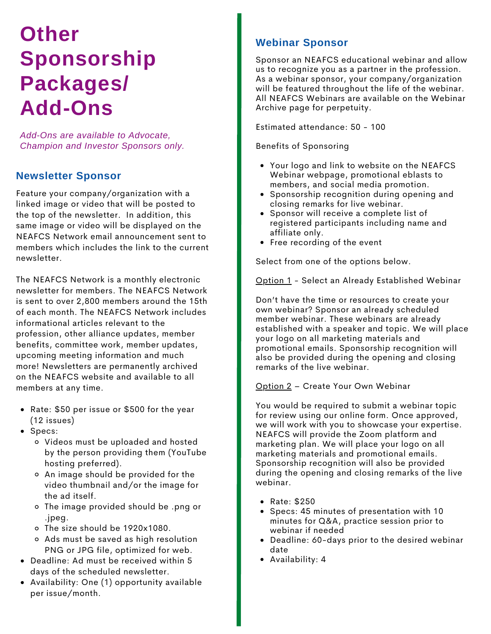# **Other Sponsorship Packages/ Add-Ons**

*Add-Ons are available to Advocate, Champion and Investor Sponsors only.*

#### **Newsletter Sponsor**

Feature your company/organization with a linked image or video that will be posted to the top of the newsletter. In addition, this same image or video will be displayed on the NEAFCS Network email announcement sent to members which includes the link to the current newsletter.

The NEAFCS Network is a monthly electronic newsletter for members. The NEAFCS Network is sent to over 2,800 members around the 15th of each month. The NEAFCS Network includes informational articles relevant to the profession, other alliance updates, member benefits, committee work, member updates, upcoming meeting information and much more! Newsletters are permanently archived on the NEAFCS website and available to all members at any time.

- Rate: \$50 per issue or \$500 for the year (12 issues)
- Specs:
	- Videos must be uploaded and hosted by the person providing them (YouTube hosting preferred).
	- An image should be provided for the video thumbnail and/or the image for the ad itself.
	- The image provided should be .png or .jpeg.
	- The size should be 1920x1080.
	- Ads must be saved as high resolution PNG or JPG file, optimized for web.
- Deadline: Ad must be received within 5 days of the scheduled newsletter.
- Availability: One (1) opportunity available per issue/month.

### **Webinar Sponsor**

Sponsor an NEAFCS educational webinar and allow us to recognize you as a partner in the profession. As a webinar sponsor, your company/organization will be featured throughout the life of the webinar. All NEAFCS Webinars are available on the Webinar Archive page for perpetuity.

Estimated attendance: 50 - 100

Benefits of Sponsoring

- Your logo and link to website on the NEAFCS Webinar webpage, promotional eblasts to members, and social media promotion.
- **•** Sponsorship recognition during opening and closing remarks for live webinar.
- Sponsor will receive a complete list of registered participants including name and affiliate only.
- Free recording of the event

Select from one of the options below.

Option 1 - Select an Already Established Webinar

Don't have the time or resources to create your own webinar? Sponsor an already scheduled member webinar. These webinars are already established with a speaker and topic. We will place your logo on all marketing materials and promotional emails. Sponsorship recognition will also be provided during the opening and closing remarks of the live webinar.

Option 2 – Create Your Own Webinar

You would be required to submit a webinar topic for review using our online form. Once approved, we will work with you to showcase your expertise. NEAFCS will provide the Zoom platform and marketing plan. We will place your logo on all marketing materials and promotional emails. Sponsorship recognition will also be provided during the opening and closing remarks of the live webinar.

- Rate: \$250
- Specs: 45 minutes of presentation with 10 minutes for Q&A, practice session prior to webinar if needed
- Deadline: 60-days prior to the desired webinar date
- Availability: 4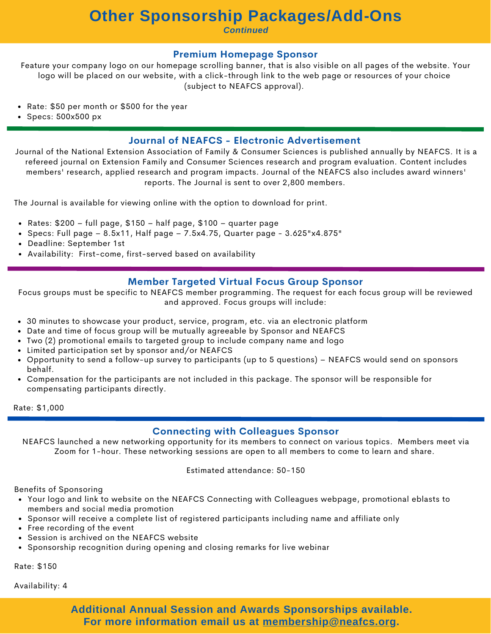### **Other Sponsorship Packages/Add-Ons**

*Continued*

#### **Premium Homepage Sponsor**

Feature your company logo on our homepage scrolling banner, that is also visible on all pages of the website. Your logo will be placed on our website, with a click-through link to the web page or resources of your choice (subject to NEAFCS approval).

- Rate: \$50 per month or \$500 for the year
- $\bullet$  Specs: 500x500 px

#### **Journal of NEAFCS - Electronic Advertisement**

Journal of the National Extension Association of Family & Consumer Sciences is published annually by NEAFCS. It is a refereed journal on Extension Family and Consumer Sciences research and program evaluation. Content includes members' research, applied research and program impacts. Journal of the NEAFCS also includes award winners' reports. The Journal is sent to over 2,800 members.

The Journal is available for viewing online with the option to download for print.

- Rates: \$200 full page, \$150 half page, \$100 quarter page
- Specs: Full page  $8.5x11$ , Half page  $7.5x4.75$ , Quarter page  $3.625''x4.875''$
- Deadline: September 1st
- Availability: First-come, first-served based on availability

#### **Member Targeted Virtual Focus Group Sponsor**

Focus groups must be specific to NEAFCS member programming. The request for each focus group will be reviewed and approved. Focus groups will include:

- 30 minutes to showcase your product, service, program, etc. via an electronic platform
- Date and time of focus group will be mutually agreeable by Sponsor and NEAFCS
- Two (2) promotional emails to targeted group to include company name and logo
- Limited participation set by sponsor and/or NEAFCS
- Opportunity to send a follow-up survey to participants (up to 5 questions) NEAFCS would send on sponsors behalf.
- Compensation for the participants are not included in this package. The sponsor will be responsible for compensating participants directly.

Rate: \$1,000

#### **Connecting with Colleagues Sponsor**

NEAFCS launched a new networking opportunity for its members to connect on various topics. Members meet via Zoom for 1-hour. These networking sessions are open to all members to come to learn and share.

Estimated attendance: 50-150

Benefits of Sponsoring

- Your logo and link to website on the NEAFCS Connecting with Colleagues webpage, promotional eblasts to members and social media promotion
- Sponsor will receive a complete list of registered participants including name and affiliate only
- Free recording of the event
- Session is archived on the NEAFCS website
- Sponsorship recognition during opening and closing remarks for live webinar

Rate: \$150

Availability: 4

**Additional Annual Session and Awards Sponsorships available. For more information email us at [membership@neafcs.org.](mailto:membership@neafcs.org)**